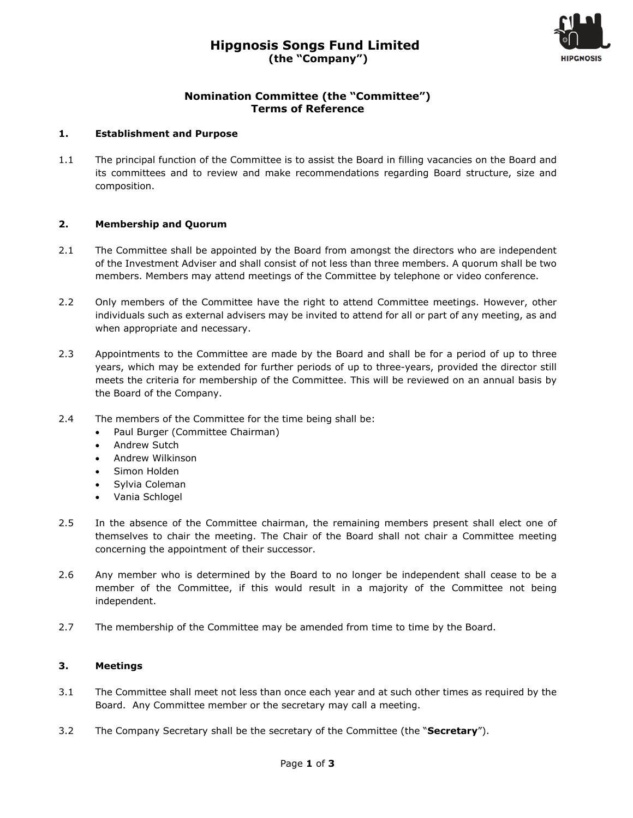

# **Nomination Committee (the "Committee") Terms of Reference**

#### **1. Establishment and Purpose**

1.1 The principal function of the Committee is to assist the Board in filling vacancies on the Board and its committees and to review and make recommendations regarding Board structure, size and composition.

#### **2. Membership and Quorum**

- 2.1 The Committee shall be appointed by the Board from amongst the directors who are independent of the Investment Adviser and shall consist of not less than three members. A quorum shall be two members. Members may attend meetings of the Committee by telephone or video conference.
- 2.2 Only members of the Committee have the right to attend Committee meetings. However, other individuals such as external advisers may be invited to attend for all or part of any meeting, as and when appropriate and necessary.
- 2.3 Appointments to the Committee are made by the Board and shall be for a period of up to three years, which may be extended for further periods of up to three-years, provided the director still meets the criteria for membership of the Committee. This will be reviewed on an annual basis by the Board of the Company.
- 2.4 The members of the Committee for the time being shall be:
	- Paul Burger (Committee Chairman)
	- Andrew Sutch
	- Andrew Wilkinson
	- Simon Holden
	- Sylvia Coleman
	- Vania Schlogel
- 2.5 In the absence of the Committee chairman, the remaining members present shall elect one of themselves to chair the meeting. The Chair of the Board shall not chair a Committee meeting concerning the appointment of their successor.
- 2.6 Any member who is determined by the Board to no longer be independent shall cease to be a member of the Committee, if this would result in a majority of the Committee not being independent.
- 2.7 The membership of the Committee may be amended from time to time by the Board.

## **3. Meetings**

- 3.1 The Committee shall meet not less than once each year and at such other times as required by the Board. Any Committee member or the secretary may call a meeting.
- 3.2 The Company Secretary shall be the secretary of the Committee (the "**Secretary**").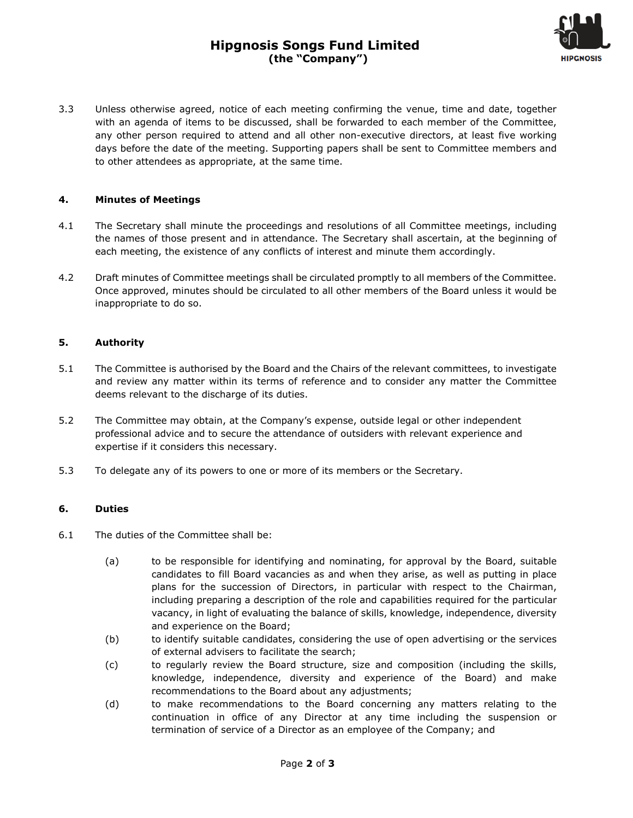# **Hipgnosis Songs Fund Limited (the "Company")**



3.3 Unless otherwise agreed, notice of each meeting confirming the venue, time and date, together with an agenda of items to be discussed, shall be forwarded to each member of the Committee, any other person required to attend and all other non-executive directors, at least five working days before the date of the meeting. Supporting papers shall be sent to Committee members and to other attendees as appropriate, at the same time.

#### **4. Minutes of Meetings**

- 4.1 The Secretary shall minute the proceedings and resolutions of all Committee meetings, including the names of those present and in attendance. The Secretary shall ascertain, at the beginning of each meeting, the existence of any conflicts of interest and minute them accordingly.
- 4.2 Draft minutes of Committee meetings shall be circulated promptly to all members of the Committee. Once approved, minutes should be circulated to all other members of the Board unless it would be inappropriate to do so.

#### **5. Authority**

- 5.1 The Committee is authorised by the Board and the Chairs of the relevant committees, to investigate and review any matter within its terms of reference and to consider any matter the Committee deems relevant to the discharge of its duties.
- 5.2 The Committee may obtain, at the Company's expense, outside legal or other independent professional advice and to secure the attendance of outsiders with relevant experience and expertise if it considers this necessary.
- 5.3 To delegate any of its powers to one or more of its members or the Secretary.

#### **6. Duties**

- 6.1 The duties of the Committee shall be:
	- (a) to be responsible for identifying and nominating, for approval by the Board, suitable candidates to fill Board vacancies as and when they arise, as well as putting in place plans for the succession of Directors, in particular with respect to the Chairman, including preparing a description of the role and capabilities required for the particular vacancy, in light of evaluating the balance of skills, knowledge, independence, diversity and experience on the Board;
	- (b) to identify suitable candidates, considering the use of open advertising or the services of external advisers to facilitate the search;
	- (c) to regularly review the Board structure, size and composition (including the skills, knowledge, independence, diversity and experience of the Board) and make recommendations to the Board about any adjustments;
	- (d) to make recommendations to the Board concerning any matters relating to the continuation in office of any Director at any time including the suspension or termination of service of a Director as an employee of the Company; and